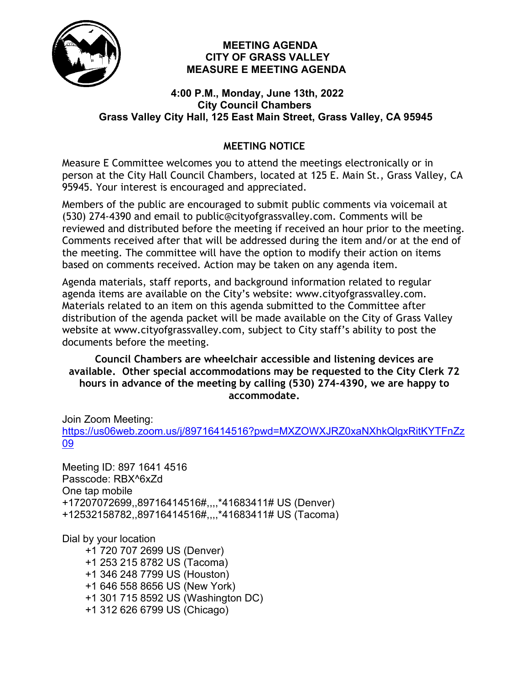

#### **MEETING AGENDA CITY OF GRASS VALLEY MEASURE E MEETING AGENDA**

#### **4:00 P.M., Monday, June 13th, 2022 City Council Chambers Grass Valley City Hall, 125 East Main Street, Grass Valley, CA 95945**

# **MEETING NOTICE**

Measure E Committee welcomes you to attend the meetings electronically or in person at the City Hall Council Chambers, located at 125 E. Main St., Grass Valley, CA 95945. Your interest is encouraged and appreciated.

Members of the public are encouraged to submit public comments via voicemail at (530) 274-4390 and email to public@cityofgrassvalley.com. Comments will be reviewed and distributed before the meeting if received an hour prior to the meeting. Comments received after that will be addressed during the item and/or at the end of the meeting. The committee will have the option to modify their action on items based on comments received. Action may be taken on any agenda item.

Agenda materials, staff reports, and background information related to regular agenda items are available on the City's website: www.cityofgrassvalley.com. Materials related to an item on this agenda submitted to the Committee after distribution of the agenda packet will be made available on the City of Grass Valley website at www.cityofgrassvalley.com, subject to City staff's ability to post the documents before the meeting.

**Council Chambers are wheelchair accessible and listening devices are available. Other special accommodations may be requested to the City Clerk 72 hours in advance of the meeting by calling (530) 274-4390, we are happy to accommodate.**

Join Zoom Meeting:

[https://us06web.zoom.us/j/89716414516?pwd=MXZOWXJRZ0xaNXhkQlgxRitKYTFnZz](https://us06web.zoom.us/j/89716414516?pwd=MXZOWXJRZ0xaNXhkQlgxRitKYTFnZz09) [09](https://us06web.zoom.us/j/89716414516?pwd=MXZOWXJRZ0xaNXhkQlgxRitKYTFnZz09)

Meeting ID: 897 1641 4516 Passcode: RBX^6xZd One tap mobile +17207072699,,89716414516#,,,,\*41683411# US (Denver) +12532158782,,89716414516#,,,,\*41683411# US (Tacoma)

Dial by your location

 +1 720 707 2699 US (Denver) +1 253 215 8782 US (Tacoma) +1 346 248 7799 US (Houston) +1 646 558 8656 US (New York) +1 301 715 8592 US (Washington DC) +1 312 626 6799 US (Chicago)